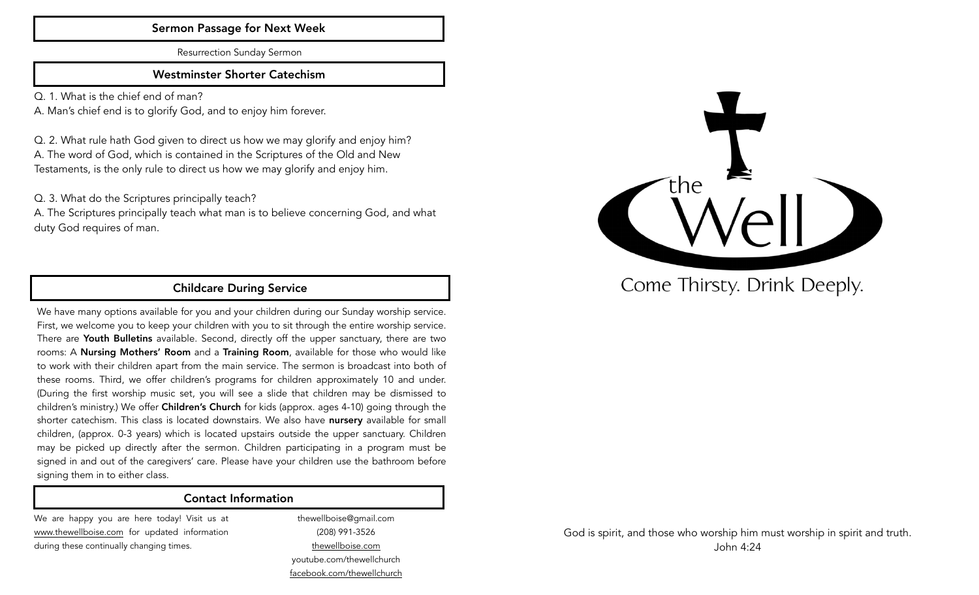#### Sermon Passage for Next Week

Resurrection Sunday Sermon

#### Westminster Shorter Catechism

Q. 1. What is the chief end of man?

A. Man's chief end is to glorify God, and to enjoy him forever.

Q. 2. What rule hath God given to direct us how we may glorify and enjoy him? A. The word of God, which is contained in the Scriptures of the Old and New Testaments, is the only rule to direct us how we may glorify and enjoy him.

Q. 3. What do the Scriptures principally teach?

A. The Scriptures principally teach what man is to believe concerning God, and what duty God requires of man.

## Childcare During Service

We have many options available for you and your children during our Sunday worship service. First, we welcome you to keep your children with you to sit through the entire worship service. There are Youth Bulletins available. Second, directly off the upper sanctuary, there are two rooms: A Nursing Mothers' Room and a Training Room, available for those who would like to work with their children apart from the main service. The sermon is broadcast into both of these rooms. Third, we offer children's programs for children approximately 10 and under. (During the first worship music set, you will see a slide that children may be dismissed to children's ministry.) We offer Children's Church for kids (approx. ages 4-10) going through the shorter catechism. This class is located downstairs. We also have nursery available for small children, (approx. 0-3 years) which is located upstairs outside the upper sanctuary. Children may be picked up directly after the sermon. Children participating in a program must be signed in and out of the caregivers' care. Please have your children use the bathroom before signing them in to either class.

#### Contact Information

We are happy you are here today! Visit us at [www.thewellboise.com](http://www.thewellboise.com) for updated information during these continually changing times.

thewellboise@gmail.com (208) 991-3526 [thewellboise.com](http://thewellboise.com) youtube.com/thewellchurch [facebook.com/thewellchurch](http://facebook.com/thewellchurch)



Come Thirsty. Drink Deeply.

God is spirit, and those who worship him must worship in spirit and truth. John 4:24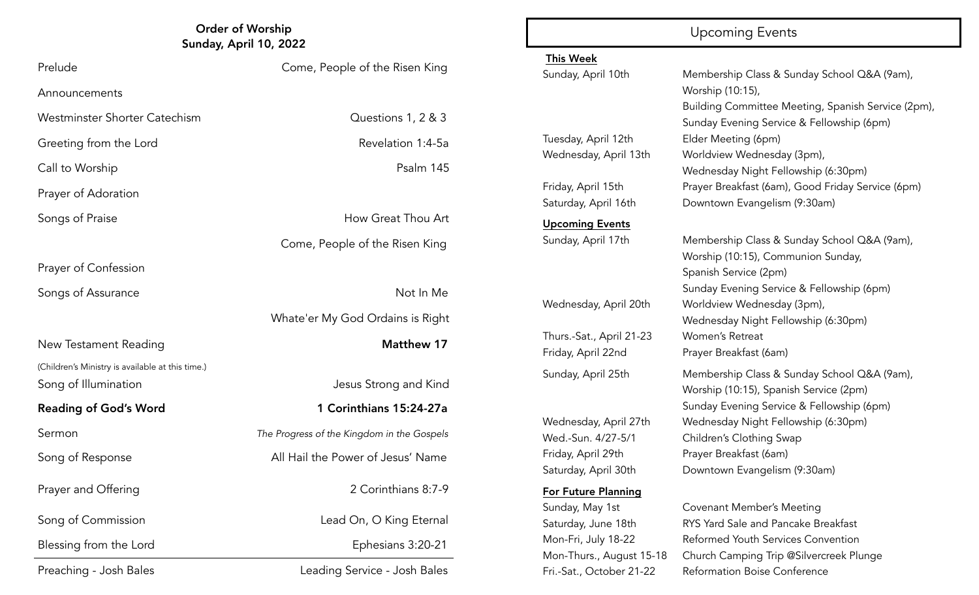# Order of Worship Upcoming Events Sunday, April 10, 2022

| Prelude                                                                  | Come, People of the Risen King             |
|--------------------------------------------------------------------------|--------------------------------------------|
| Announcements                                                            |                                            |
| <b>Westminster Shorter Catechism</b>                                     | Questions 1, 2 & 3                         |
| Greeting from the Lord                                                   | Revelation 1:4-5a                          |
| Call to Worship                                                          | Psalm 145                                  |
| Prayer of Adoration                                                      |                                            |
| Songs of Praise                                                          | How Great Thou Art                         |
|                                                                          | Come, People of the Risen King             |
| Prayer of Confession                                                     |                                            |
| Songs of Assurance                                                       | Not In Me                                  |
|                                                                          | Whate'er My God Ordains is Right           |
| New Testament Reading                                                    | <b>Matthew 17</b>                          |
| (Children's Ministry is available at this time.)<br>Song of Illumination | Jesus Strong and Kind                      |
| <b>Reading of God's Word</b>                                             | 1 Corinthians 15:24-27a                    |
| Sermon                                                                   | The Progress of the Kingdom in the Gospels |
| Song of Response                                                         | All Hail the Power of Jesus' Name          |
| Prayer and Offering                                                      | 2 Corinthians 8:7-9                        |
| Song of Commission                                                       | Lead On, O King Eternal                    |
| Blessing from the Lord                                                   | Ephesians 3:20-21                          |
| Preaching - Josh Bales                                                   | Leading Service - Josh Bales               |

#### This Week

Sunday, April 10th Membership Class & Sunday School Q&A (9am),

Upcoming Events

For Future Planning

Worship (10:15), Building Committee Meeting, Spanish Service (2pm), Sunday Evening Service & Fellowship (6pm) Tuesday, April 12th Elder Meeting (6pm) Wednesday, April 13th Worldview Wednesday (3pm), Wednesday Night Fellowship (6:30pm) Friday, April 15th Prayer Breakfast (6am), Good Friday Service (6pm) Saturday, April 16th Downtown Evangelism (9:30am)

Sunday, April 17th Membership Class & Sunday School Q&A (9am), Worship (10:15), Communion Sunday, Spanish Service (2pm) Sunday Evening Service & Fellowship (6pm) Wednesday, April 20th Worldview Wednesday (3pm), Wednesday Night Fellowship (6:30pm) Thurs.-Sat., April 21-23 Women's Retreat Friday, April 22nd Prayer Breakfast (6am) Sunday, April 25th Membership Class & Sunday School Q&A (9am), Worship (10:15), Spanish Service (2pm) Sunday Evening Service & Fellowship (6pm) Wednesday, April 27th Wednesday Night Fellowship (6:30pm)

Wed.-Sun. 4/27-5/1 Children's Clothing Swap Friday, April 29th Prayer Breakfast (6am) Saturday, April 30th Downtown Evangelism (9:30am)

Sunday, May 1st Covenant Member's Meeting Saturday, June 18th RYS Yard Sale and Pancake Breakfast Mon-Fri, July 18-22 Reformed Youth Services Convention Mon-Thurs., August 15-18 Church Camping Trip @Silvercreek Plunge Fri.-Sat., October 21-22 Reformation Boise Conference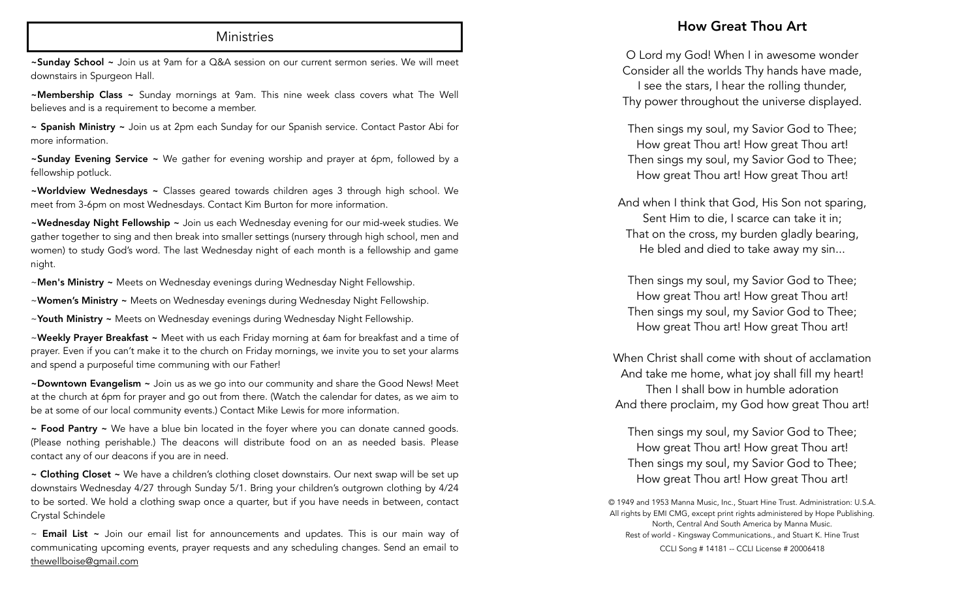#### **Ministries**

~Sunday School ~ Join us at 9am for a Q&A session on our current sermon series. We will meet downstairs in Spurgeon Hall.

 $\sim$ Membership Class  $\sim$  Sunday mornings at 9am. This nine week class covers what The Well believes and is a requirement to become a member.

~ Spanish Ministry ~ Join us at 2pm each Sunday for our Spanish service. Contact Pastor Abi for more information.

~Sunday Evening Service ~ We gather for evening worship and prayer at 6pm, followed by a fellowship potluck.

~Worldview Wednesdays ~ Classes geared towards children ages 3 through high school. We meet from 3-6pm on most Wednesdays. Contact Kim Burton for more information.

~Wednesday Night Fellowship ~ Join us each Wednesday evening for our mid-week studies. We gather together to sing and then break into smaller settings (nursery through high school, men and women) to study God's word. The last Wednesday night of each month is a fellowship and game night.

~Men's Ministry ~ Meets on Wednesday evenings during Wednesday Night Fellowship.

~Women's Ministry ~ Meets on Wednesday evenings during Wednesday Night Fellowship.

~Youth Ministry ~ Meets on Wednesday evenings during Wednesday Night Fellowship.

~Weekly Prayer Breakfast ~ Meet with us each Friday morning at 6am for breakfast and a time of prayer. Even if you can't make it to the church on Friday mornings, we invite you to set your alarms and spend a purposeful time communing with our Father!

~Downtown Evangelism ~ Join us as we go into our community and share the Good News! Meet at the church at 6pm for prayer and go out from there. (Watch the calendar for dates, as we aim to be at some of our local community events.) Contact Mike Lewis for more information.

~ Food Pantry ~ We have a blue bin located in the foyer where you can donate canned goods. (Please nothing perishable.) The deacons will distribute food on an as needed basis. Please contact any of our deacons if you are in need.

~ Clothing Closet ~ We have a children's clothing closet downstairs. Our next swap will be set up downstairs Wednesday 4/27 through Sunday 5/1. Bring your children's outgrown clothing by 4/24 to be sorted. We hold a clothing swap once a quarter, but if you have needs in between, contact Crystal Schindele

 $\sim$  Email List  $\sim$  Join our email list for announcements and updates. This is our main way of communicating upcoming events, prayer requests and any scheduling changes. Send an email to [thewellboise@gmail.com](mailto:thewellboise@gmail.com)

#### How Great Thou Art

O Lord my God! When I in awesome wonder Consider all the worlds Thy hands have made, I see the stars, I hear the rolling thunder, Thy power throughout the universe displayed.

Then sings my soul, my Savior God to Thee; How great Thou art! How great Thou art! Then sings my soul, my Savior God to Thee; How great Thou art! How great Thou art!

And when I think that God, His Son not sparing, Sent Him to die, I scarce can take it in; That on the cross, my burden gladly bearing, He bled and died to take away my sin...

Then sings my soul, my Savior God to Thee; How great Thou art! How great Thou art! Then sings my soul, my Savior God to Thee; How great Thou art! How great Thou art!

When Christ shall come with shout of acclamation And take me home, what joy shall fill my heart! Then I shall bow in humble adoration And there proclaim, my God how great Thou art!

Then sings my soul, my Savior God to Thee; How great Thou art! How great Thou art! Then sings my soul, my Savior God to Thee; How great Thou art! How great Thou art!

© 1949 and 1953 Manna Music, Inc., Stuart Hine Trust. Administration: U.S.A. All rights by EMI CMG, except print rights administered by Hope Publishing. North, Central And South America by Manna Music. Rest of world - Kingsway Communications., and Stuart K. Hine Trust

CCLI Song # 14181 -- CCLI License # 20006418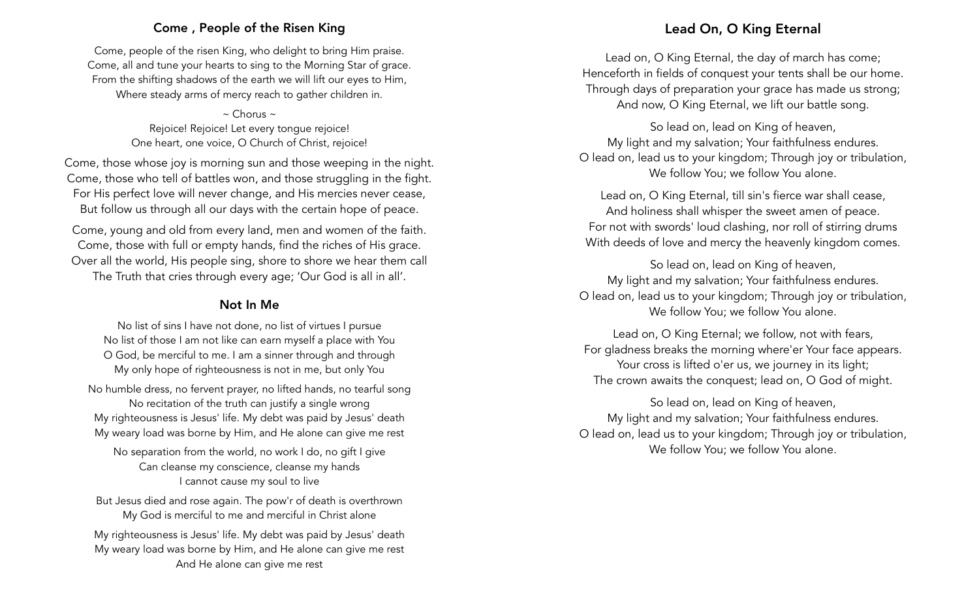### Come , People of the Risen King

Come, people of the risen King, who delight to bring Him praise. Come, all and tune your hearts to sing to the Morning Star of grace. From the shifting shadows of the earth we will lift our eyes to Him, Where steady arms of mercy reach to gather children in.

> $\sim$  Chorus  $\sim$ Rejoice! Rejoice! Let every tongue rejoice! One heart, one voice, O Church of Christ, rejoice!

Come, those whose joy is morning sun and those weeping in the night. Come, those who tell of battles won, and those struggling in the fight. For His perfect love will never change, and His mercies never cease, But follow us through all our days with the certain hope of peace.

Come, young and old from every land, men and women of the faith. Come, those with full or empty hands, find the riches of His grace. Over all the world, His people sing, shore to shore we hear them call The Truth that cries through every age; 'Our God is all in all'.

### Not In Me

No list of sins I have not done, no list of virtues I pursue No list of those I am not like can earn myself a place with You O God, be merciful to me. I am a sinner through and through My only hope of righteousness is not in me, but only You No humble dress, no fervent prayer, no lifted hands, no tearful song

No recitation of the truth can justify a single wrong My righteousness is Jesus' life. My debt was paid by Jesus' death My weary load was borne by Him, and He alone can give me rest

No separation from the world, no work I do, no gift I give Can cleanse my conscience, cleanse my hands I cannot cause my soul to live

But Jesus died and rose again. The pow'r of death is overthrown My God is merciful to me and merciful in Christ alone

My righteousness is Jesus' life. My debt was paid by Jesus' death My weary load was borne by Him, and He alone can give me rest And He alone can give me rest

# Lead On, O King Eternal

Lead on, O King Eternal, the day of march has come; Henceforth in fields of conquest your tents shall be our home. Through days of preparation your grace has made us strong; And now, O King Eternal, we lift our battle song.

So lead on, lead on King of heaven, My light and my salvation; Your faithfulness endures. O lead on, lead us to your kingdom; Through joy or tribulation, We follow You; we follow You alone.

Lead on, O King Eternal, till sin's fierce war shall cease, And holiness shall whisper the sweet amen of peace. For not with swords' loud clashing, nor roll of stirring drums With deeds of love and mercy the heavenly kingdom comes.

So lead on, lead on King of heaven, My light and my salvation; Your faithfulness endures. O lead on, lead us to your kingdom; Through joy or tribulation, We follow You; we follow You alone.

Lead on, O King Eternal; we follow, not with fears, For gladness breaks the morning where'er Your face appears. Your cross is lifted o'er us, we journey in its light; The crown awaits the conquest; lead on, O God of might.

So lead on, lead on King of heaven, My light and my salvation; Your faithfulness endures. O lead on, lead us to your kingdom; Through joy or tribulation, We follow You; we follow You alone.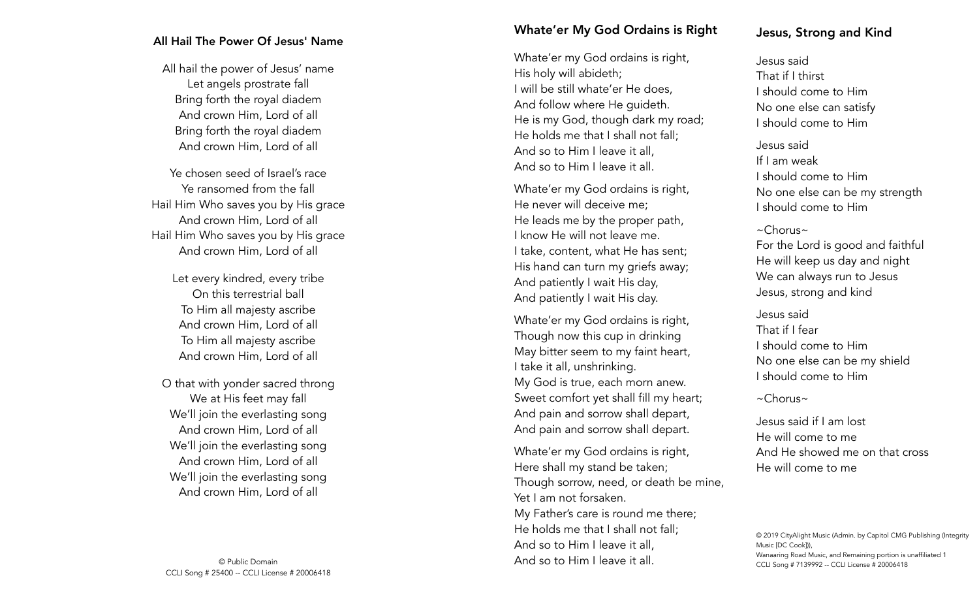### All Hail The Power Of Jesus' Name

All hail the power of Jesus' name Let angels prostrate fall Bring forth the royal diadem And crown Him, Lord of all Bring forth the royal diadem And crown Him, Lord of all

Ye chosen seed of Israel's race Ye ransomed from the fall Hail Him Who saves you by His grace And crown Him, Lord of all Hail Him Who saves you by His grace And crown Him, Lord of all

Let every kindred, every tribe On this terrestrial ball To Him all majesty ascribe And crown Him, Lord of all To Him all majesty ascribe And crown Him, Lord of all

O that with yonder sacred throng We at His feet may fall We'll join the everlasting song And crown Him, Lord of all We'll join the everlasting song And crown Him, Lord of all We'll join the everlasting song And crown Him, Lord of all

# Whate'er My God Ordains is Right

Whate'er my God ordains is right, His holy will abideth; I will be still whate'er He does, And follow where He guideth. He is my God, though dark my road; He holds me that I shall not fall; And so to Him I leave it all, And so to Him I leave it all.

Whate'er my God ordains is right, He never will deceive me; He leads me by the proper path, I know He will not leave me. I take, content, what He has sent; His hand can turn my griefs away; And patiently I wait His day, And patiently I wait His day.

Whate'er my God ordains is right, Though now this cup in drinking May bitter seem to my faint heart, I take it all, unshrinking. My God is true, each morn anew. Sweet comfort yet shall fill my heart; And pain and sorrow shall depart, And pain and sorrow shall depart.

Whate'er my God ordains is right, Here shall my stand be taken; Though sorrow, need, or death be mine, Yet I am not forsaken. My Father's care is round me there; He holds me that I shall not fall; And so to Him I leave it all, And so to Him I leave it all.

# Jesus, Strong and Kind

Jesus said That if I thirst I should come to Him No one else can satisfy I should come to Him

Jesus said If I am weak I should come to Him No one else can be my strength I should come to Him

# ~Chorus~

For the Lord is good and faithful He will keep us day and night We can always run to Jesus Jesus, strong and kind

Jesus said That if I fear I should come to Him No one else can be my shield I should come to Him

~Chorus~

Jesus said if I am lost He will come to me And He showed me on that cross He will come to me

© 2019 CityAlight Music (Admin. by Capitol CMG Publishing (Integrity Music [DC Cook])), Wanaaring Road Music, and Remaining portion is unaffiliated 1 CCLI Song # 7139992 -- CCLI License # 20006418